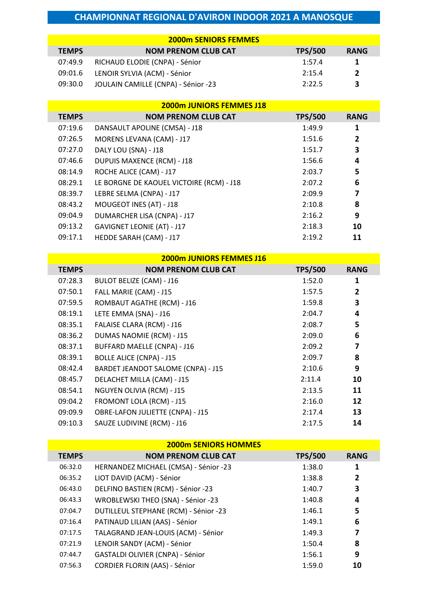|              | <b>2000m SENIORS FEMMES</b>         |                |             |
|--------------|-------------------------------------|----------------|-------------|
| <b>TEMPS</b> | <b>NOM PRENOM CLUB CAT</b>          | <b>TPS/500</b> | <b>RANG</b> |
| 07:49.9      | RICHAUD ELODIE (CNPA) - Sénior      | 1:57.4         | 1           |
| 09:01.6      | LENOIR SYLVIA (ACM) - Sénior        | 2:15.4         | 2           |
| 09:30.0      | JOULAIN CAMILLE (CNPA) - Sénior -23 | 2:22.5         | 3           |

|              | <b>2000m JUNIORS FEMMES J18</b>          |                |                |
|--------------|------------------------------------------|----------------|----------------|
| <b>TEMPS</b> | <b>NOM PRENOM CLUB CAT</b>               | <b>TPS/500</b> | <b>RANG</b>    |
| 07:19.6      | DANSAULT APOLINE (CMSA) - J18            | 1:49.9         | 1              |
| 07:26.5      | MORENS LEVANA (CAM) - J17                | 1:51.6         | $\overline{2}$ |
| 07:27.0      | DALY LOU (SNA) - J18                     | 1:51.7         | 3              |
| 07:46.6      | <b>DUPUIS MAXENCE (RCM) - J18</b>        | 1:56.6         | 4              |
| 08:14.9      | ROCHE ALICE (CAM) - J17                  | 2:03.7         | 5              |
| 08:29.1      | LE BORGNE DE KAOUEL VICTOIRE (RCM) - J18 | 2:07.2         | 6              |
| 08:39.7      | LEBRE SELMA (CNPA) - J17                 | 2:09.9         | 7              |
| 08:43.2      | MOUGEOT INES (AT) - J18                  | 2:10.8         | 8              |
| 09:04.9      | DUMARCHER LISA (CNPA) - J17              | 2:16.2         | 9              |
| 09:13.2      | <b>GAVIGNET LEONIE (AT) - J17</b>        | 2:18.3         | 10             |
| 09:17.1      | HEDDE SARAH (CAM) - J17                  | 2:19.2         | 11             |

|              | <b>2000m JUNIORS FEMMES J16</b>    |                |              |  |
|--------------|------------------------------------|----------------|--------------|--|
| <b>TEMPS</b> | <b>NOM PRENOM CLUB CAT</b>         | <b>TPS/500</b> | <b>RANG</b>  |  |
| 07:28.3      | <b>BULOT BELIZE (CAM) - J16</b>    | 1:52.0         | 1            |  |
| 07:50.1      | FALL MARIE (CAM) - J15             | 1:57.5         | $\mathbf{2}$ |  |
| 07:59.5      | ROMBAUT AGATHE (RCM) - J16         | 1:59.8         | 3            |  |
| 08:19.1      | LETE EMMA (SNA) - J16              | 2:04.7         | 4            |  |
| 08:35.1      | FALAISE CLARA (RCM) - J16          | 2:08.7         | 5            |  |
| 08:36.2      | <b>DUMAS NAOMIE (RCM) - J15</b>    | 2:09.0         | 6            |  |
| 08:37.1      | <b>BUFFARD MAELLE (CNPA) - J16</b> | 2:09.2         | 7            |  |
| 08:39.1      | <b>BOLLE ALICE (CNPA) - J15</b>    | 2:09.7         | 8            |  |
| 08:42.4      | BARDET JEANDOT SALOME (CNPA) - J15 | 2:10.6         | 9            |  |
| 08:45.7      | DELACHET MILLA (CAM) - J15         | 2:11.4         | 10           |  |
| 08:54.1      | NGUYEN OLIVIA (RCM) - J15          | 2:13.5         | 11           |  |
| 09:04.2      | FROMONT LOLA (RCM) - J15           | 2:16.0         | 12           |  |
| 09:09.9      | OBRE-LAFON JULIETTE (CNPA) - J15   | 2:17.4         | 13           |  |
| 09:10.3      | SAUZE LUDIVINE (RCM) - J16         | 2:17.5         | 14           |  |

| <b>2000m SENIORS HOMMES</b> |                                       |                |             |  |
|-----------------------------|---------------------------------------|----------------|-------------|--|
| <b>TEMPS</b>                | <b>NOM PRENOM CLUB CAT</b>            | <b>TPS/500</b> | <b>RANG</b> |  |
| 06:32.0                     | HERNANDEZ MICHAEL (CMSA) - Sénior -23 | 1:38.0         | 1           |  |
| 06:35.2                     | LIOT DAVID (ACM) - Sénior             | 1:38.8         | 2           |  |
| 06:43.0                     | DELFINO BASTIEN (RCM) - Sénior -23    | 1:40.7         | 3           |  |
| 06:43.3                     | WROBLEWSKI THEO (SNA) - Sénior -23    | 1:40.8         | 4           |  |
| 07:04.7                     | DUTILLEUL STEPHANE (RCM) - Sénior -23 | 1:46.1         | 5           |  |
| 07:16.4                     | PATINAUD LILIAN (AAS) - Sénior        | 1:49.1         | 6           |  |
| 07:17.5                     | TALAGRAND JEAN-LOUIS (ACM) - Sénior   | 1:49.3         | 7           |  |
| 07:21.9                     | LENOIR SANDY (ACM) - Sénior           | 1:50.4         | 8           |  |
| 07:44.7                     | GASTALDI OLIVIER (CNPA) - Sénior      | 1:56.1         | 9           |  |
| 07:56.3                     | CORDIER FLORIN (AAS) - Sénior         | 1:59.0         | 10          |  |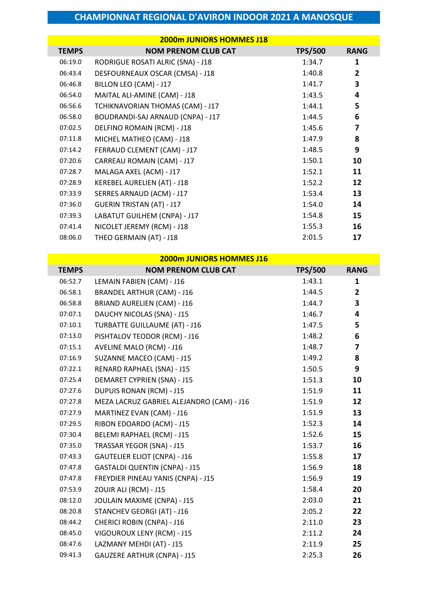|              | <b>2000m JUNIORS HOMMES J18</b>   |                |                |
|--------------|-----------------------------------|----------------|----------------|
| <b>TEMPS</b> | <b>NOM PRENOM CLUB CAT</b>        | <b>TPS/500</b> | <b>RANG</b>    |
| 06:19.0      | RODRIGUE ROSATI ALRIC (SNA) - J18 | 1:34.7         | 1              |
| 06:43.4      | DESFOURNEAUX OSCAR (CMSA) - J18   | 1:40.8         | $\overline{2}$ |
| 06:46.8      | BILLON LEO (CAM) - J17            | 1:41.7         | 3              |
| 06:54.0      | MAITAL ALI-AMINE (CAM) - J18      | 1:43.5         | 4              |
| 06:56.6      | TCHIKNAVORIAN THOMAS (CAM) - J17  | 1:44.1         | 5              |
| 06:58.0      | BOUDRANDI-SAJ ARNAUD (CNPA) - J17 | 1:44.5         | 6              |
| 07:02.5      | DELFINO ROMAIN (RCM) - J18        | 1:45.6         | 7              |
| 07:11.8      | MICHEL MATHEO (CAM) - J18         | 1:47.9         | 8              |
| 07:14.2      | FERRAUD CLEMENT (CAM) - J17       | 1:48.5         | 9              |
| 07:20.6      | CARREAU ROMAIN (CAM) - J17        | 1:50.1         | 10             |
| 07:28.7      | MALAGA AXEL (ACM) - J17           | 1:52.1         | 11             |
| 07:28.9      | KEREBEL AURELIEN (AT) - J18       | 1:52.2         | 12             |
| 07:33.9      | SERRES ARNAUD (ACM) - J17         | 1:53.4         | 13             |
| 07:36.0      | <b>GUERIN TRISTAN (AT) - J17</b>  | 1:54.0         | 14             |
| 07:39.3      | LABATUT GUILHEM (CNPA) - J17      | 1:54.8         | 15             |
| 07:41.4      | NICOLET JEREMY (RCM) - J18        | 1:55.3         | 16             |
| 08:06.0      | THEO GERMAIN (AT) - J18           | 2:01.5         | 17             |

|              | 2000m JUNIORS HOMMES J16                  |                |                         |
|--------------|-------------------------------------------|----------------|-------------------------|
| <b>TEMPS</b> | <b>NOM PRENOM CLUB CAT</b>                | <b>TPS/500</b> | <b>RANG</b>             |
| 06:52.7      | LEMAIN FABIEN (CAM) - J16                 | 1:43.1         | 1                       |
| 06:58.1      | <b>BRANDEL ARTHUR (CAM) - J16</b>         | 1:44.5         | $\mathbf{2}$            |
| 06:58.8      | <b>BRIAND AURELIEN (CAM) - J16</b>        | 1:44.7         | 3                       |
| 07:07.1      | DAUCHY NICOLAS (SNA) - J15                | 1:46.7         | 4                       |
| 07:10.1      | <b>TURBATTE GUILLAUME (AT) - J16</b>      | 1:47.5         | 5                       |
| 07:13.0      | PISHTALOV TEODOR (RCM) - J16              | 1:48.2         | 6                       |
| 07:15.1      | AVELINE MALO (RCM) - J16                  | 1:48.7         | $\overline{\mathbf{z}}$ |
| 07:16.9      | SUZANNE MACEO (CAM) - J15                 | 1:49.2         | 8                       |
| 07:22.1      | RENARD RAPHAEL (SNA) - J15                | 1:50.5         | 9                       |
| 07:25.4      | <b>DEMARET CYPRIEN (SNA) - J15</b>        | 1:51.3         | 10                      |
| 07:27.6      | <b>DUPUIS RONAN (RCM) - J15</b>           | 1:51.9         | 11                      |
| 07:27.8      | MEZA LACRUZ GABRIEL ALEJANDRO (CAM) - J16 | 1:51.9         | 12                      |
| 07:27.9      | MARTINEZ EVAN (CAM) - J16                 | 1:51.9         | 13                      |
| 07:29.5      | RIBON EDOARDO (ACM) - J15                 | 1:52.3         | 14                      |
| 07:30.4      | BELEMI RAPHAEL (RCM) - J15                | 1:52.6         | 15                      |
| 07:35.0      | TRASSAR YEGOR (SNA) - J15                 | 1:53.7         | 16                      |
| 07:43.3      | <b>GAUTELIER ELIOT (CNPA) - J16</b>       | 1:55.8         | 17                      |
| 07:47.8      | <b>GASTALDI QUENTIN (CNPA) - J15</b>      | 1:56.9         | 18                      |
| 07:47.8      | FREYDIER PINEAU YANIS (CNPA) - J15        | 1:56.9         | 19                      |
| 07:53.9      | ZOUIR ALI (RCM) - J15                     | 1:58.4         | 20                      |
| 08:12.0      | JOULAIN MAXIME (CNPA) - J15               | 2:03.0         | 21                      |
| 08:20.8      | STANCHEV GEORGI (AT) - J16                | 2:05.2         | 22                      |
| 08:44.2      | <b>CHERICI ROBIN (CNPA) - J16</b>         | 2:11.0         | 23                      |
| 08:45.0      | VIGOUROUX LENY (RCM) - J15                | 2:11.2         | 24                      |
| 08:47.6      | LAZMANY MEHDI (AT) - J15                  | 2:11.9         | 25                      |
| 09:41.3      | <b>GAUZERE ARTHUR (CNPA) - J15</b>        | 2:25.3         | 26                      |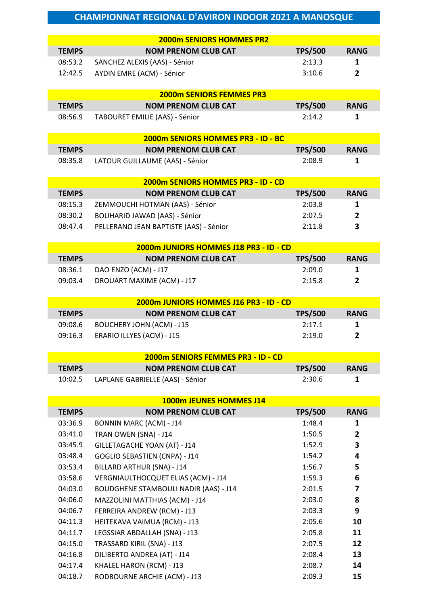| <b>2000m SENIORS HOMMES PR2</b>                                                                   |                |
|---------------------------------------------------------------------------------------------------|----------------|
| <b>TEMPS</b><br><b>NOM PRENOM CLUB CAT</b><br><b>TPS/500</b>                                      | <b>RANG</b>    |
| 08:53.2<br>2:13.3<br>SANCHEZ ALEXIS (AAS) - Sénior                                                | 1              |
| 12:42.5<br>AYDIN EMRE (ACM) - Sénior<br>3:10.6                                                    | $\overline{2}$ |
|                                                                                                   |                |
| <b>2000m SENIORS FEMMES PR3</b>                                                                   |                |
| <b>TEMPS</b><br><b>NOM PRENOM CLUB CAT</b><br><b>TPS/500</b>                                      | <b>RANG</b>    |
| 08:56.9<br>TABOURET EMILIE (AAS) - Sénior<br>2:14.2                                               | 1              |
|                                                                                                   |                |
| 2000m SENIORS HOMMES PR3 - ID - BC                                                                |                |
| <b>TEMPS</b><br><b>TPS/500</b><br><b>NOM PRENOM CLUB CAT</b>                                      | <b>RANG</b>    |
| 2:08.9<br>08:35.8<br>LATOUR GUILLAUME (AAS) - Sénior                                              | $\mathbf{1}$   |
|                                                                                                   |                |
| 2000m SENIORS HOMMES PR3 - ID - CD                                                                |                |
| <b>TEMPS</b><br><b>NOM PRENOM CLUB CAT</b><br><b>TPS/500</b>                                      | <b>RANG</b>    |
| ZEMMOUCHI HOTMAN (AAS) - Sénior<br>2:03.8<br>08:15.3                                              | 1              |
| 08:30.2<br>2:07.5<br><b>BOUHARID JAWAD (AAS) - Sénior</b>                                         | 2              |
| 08:47.4<br>PELLERANO JEAN BAPTISTE (AAS) - Sénior<br>2:11.8                                       | 3              |
|                                                                                                   |                |
| 2000m JUNIORS HOMMES J18 PR3 - ID - CD                                                            |                |
| <b>TEMPS</b><br><b>NOM PRENOM CLUB CAT</b><br><b>TPS/500</b>                                      | <b>RANG</b>    |
| 08:36.1<br>2:09.0<br>DAO ENZO (ACM) - J17                                                         | 1              |
| 2:15.8<br>09:03.4<br>DROUART MAXIME (ACM) - J17                                                   | $\overline{2}$ |
|                                                                                                   |                |
| 2000m JUNIORS HOMMES J16 PR3 - ID - CD                                                            |                |
| <b>TEMPS</b><br><b>TPS/500</b><br><b>NOM PRENOM CLUB CAT</b>                                      | <b>RANG</b>    |
| 2:17.1<br>09:08.6<br><b>BOUCHERY JOHN (ACM) - J15</b>                                             | 1              |
| 09:16.3<br>ERARIO ILLYES (ACM) - J15<br>2:19.0                                                    |                |
|                                                                                                   | 2              |
| 2000m SENIORS FEMMES PR3 - ID - CD                                                                |                |
|                                                                                                   |                |
| <b>NOM PRENOM CLUB CAT</b><br><b>TEMPS</b><br><b>TPS/500</b>                                      | <b>RANG</b>    |
| LAPLANE GABRIELLE (AAS) - Sénior<br>2:30.6<br>10:02.5                                             | 1              |
|                                                                                                   |                |
| 1000m JEUNES HOMMES J14                                                                           |                |
| <b>TEMPS</b><br><b>NOM PRENOM CLUB CAT</b><br><b>TPS/500</b>                                      | <b>RANG</b>    |
| 03:36.9<br>1:48.4<br><b>BONNIN MARC (ACM) - J14</b>                                               | 1              |
| 03:41.0<br>TRAN OWEN (SNA) - J14<br>1:50.5                                                        | 2              |
| 03:45.9<br>GILLETAGACHE YOAN (AT) - J14<br>1:52.9                                                 | 3              |
| 03:48.4<br><b>GOGLIO SEBASTIEN (CNPA) - J14</b><br>1:54.2                                         | 4              |
| 03:53.4<br>BILLARD ARTHUR (SNA) - J14<br>1:56.7                                                   | 5              |
| VERGNIAULTHOCQUET ELIAS (ACM) - J14<br>03:58.6<br>1:59.3                                          | 6              |
| 04:03.0<br><b>BOUDGHENE STAMBOULI NADIR (AAS) - J14</b><br>2:01.5                                 | 7              |
| 04:06.0<br>2:03.0<br>MAZZOLINI MATTHIAS (ACM) - J14                                               | 8              |
| 04:06.7<br>FERREIRA ANDREW (RCM) - J13<br>2:03.3                                                  | 9              |
| 2:05.6<br>04:11.3<br>HEITEKAVA VAIMUA (RCM) - J13                                                 | 10             |
| 04:11.7<br>LEGSSIAR ABDALLAH (SNA) - J13<br>2:05.8                                                | 11             |
| TRASSARD KIRIL (SNA) - J13<br>2:07.5<br>04:15.0                                                   | 12             |
| 04:16.8<br>DILIBERTO ANDREA (AT) - J14<br>2:08.4<br>04:17.4<br>KHALEL HARON (RCM) - J13<br>2:08.7 | 13<br>14       |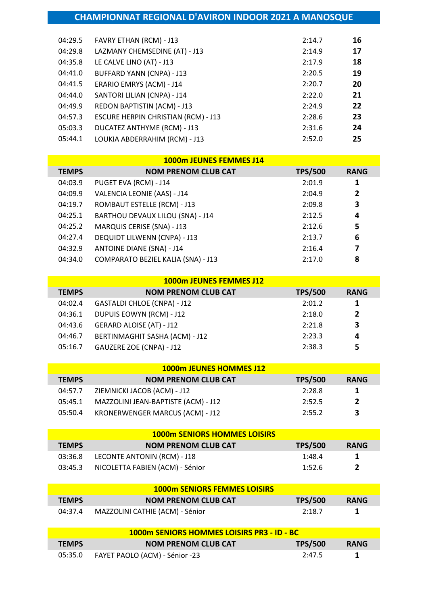| 04:29.5 | FAVRY ETHAN (RCM) - J13                    | 2:14.7 | 16 |
|---------|--------------------------------------------|--------|----|
| 04:29.8 | LAZMANY CHEMSEDINE (AT) - J13              | 2:14.9 | 17 |
| 04:35.8 | LE CALVE LINO (AT) - J13                   | 2:17.9 | 18 |
| 04:41.0 | <b>BUFFARD YANN (CNPA) - J13</b>           | 2:20.5 | 19 |
| 04:41.5 | ERARIO EMRYS (ACM) - J14                   | 2:20.7 | 20 |
| 04:44.0 | SANTORI LILIAN (CNPA) - J14                | 2:22.0 | 21 |
| 04:49.9 | REDON BAPTISTIN (ACM) - J13                | 2:24.9 | 22 |
| 04:57.3 | <b>ESCURE HERPIN CHRISTIAN (RCM) - J13</b> | 2:28.6 | 23 |
| 05:03.3 | DUCATEZ ANTHYME (RCM) - J13                | 2:31.6 | 24 |
| 05:44.1 | LOUKIA ABDERRAHIM (RCM) - J13              | 2:52.0 | 25 |
|         |                                            |        |    |

|              | 1000m JEUNES FEMMES J14             |                |                |
|--------------|-------------------------------------|----------------|----------------|
| <b>TEMPS</b> | <b>NOM PRENOM CLUB CAT</b>          | <b>TPS/500</b> | <b>RANG</b>    |
| 04:03.9      | PUGET EVA (RCM) - J14               | 2:01.9         | 1              |
| 04:09.9      | VALENCIA LEONIE (AAS) - J14         | 2:04.9         | $\overline{2}$ |
| 04:19.7      | ROMBAUT ESTELLE (RCM) - J13         | 2:09.8         | 3              |
| 04:25.1      | BARTHOU DEVAUX LILOU (SNA) - J14    | 2:12.5         | 4              |
| 04:25.2      | MARQUIS CERISE (SNA) - J13          | 2:12.6         | 5              |
| 04:27.4      | <b>DEQUIDT LILWENN (CNPA) - J13</b> | 2:13.7         | 6              |
| 04:32.9      | <b>ANTOINE DIANE (SNA) - J14</b>    | 2:16.4         | 7              |
| 04:34.0      | COMPARATO BEZIEL KALIA (SNA) - J13  | 2:17.0         | 8              |

|              | <b>1000m JEUNES FEMMES J12</b>  |                |              |
|--------------|---------------------------------|----------------|--------------|
| <b>TEMPS</b> | <b>NOM PRENOM CLUB CAT</b>      | <b>TPS/500</b> | <b>RANG</b>  |
| 04:02.4      | GASTALDI CHLOE (CNPA) - J12     | 2:01.2         | 1            |
| 04:36.1      | DUPUIS EOWYN (RCM) - J12        | 2:18.0         | $\mathbf{2}$ |
| 04:43.6      | <b>GERARD ALOISE (AT) - J12</b> | 2:21.8         | 3            |
| 04:46.7      | BERTINMAGHIT SASHA (ACM) - J12  | 2:23.3         | 4            |
| 05:16.7      | GAUZERE ZOE (CNPA) - J12        | 2:38.3         | 5            |

|              | 1000m JEUNES HOMMES J12             |                |              |
|--------------|-------------------------------------|----------------|--------------|
| <b>TEMPS</b> | <b>NOM PRENOM CLUB CAT</b>          | <b>TPS/500</b> | <b>RANG</b>  |
| 04:57.7      | ZIEMNICKI JACOB (ACM) - J12         | 2:28.8         | 1            |
| 05:45.1      | MAZZOLINI JEAN-BAPTISTE (ACM) - J12 | 2:52.5         | $\mathbf{2}$ |
| 05:50.4      | KRONERWENGER MARCUS (ACM) - J12     | 2:55.2         | 3            |

|              | <b>1000m SENIORS HOMMES LOISIRS</b> |                |              |
|--------------|-------------------------------------|----------------|--------------|
| <b>TEMPS</b> | <b>NOM PRENOM CLUB CAT</b>          | <b>TPS/500</b> | <b>RANG</b>  |
| 03:36.8      | LECONTE ANTONIN (RCM) - J18         | 1:48.4         | 1            |
| 03:45.3      | NICOLETTA FABIEN (ACM) - Sénior     | 1:52.6         | $\mathbf{z}$ |

| <b>1000m SENIORS FEMMES LOISIRS</b> |                                 |                |             |
|-------------------------------------|---------------------------------|----------------|-------------|
| <b>TEMPS</b>                        | <b>NOM PRENOM CLUB CAT</b>      | <b>TPS/500</b> | <b>RANG</b> |
| 04:37.4                             | MAZZOLINI CATHIE (ACM) - Sénior | 2:18.7         |             |

| 1000m SENIORS HOMMES LOISIRS PR3 - ID - BC |                                |                |             |
|--------------------------------------------|--------------------------------|----------------|-------------|
| <b>TEMPS</b>                               | <b>NOM PRENOM CLUB CAT</b>     | <b>TPS/500</b> | <b>RANG</b> |
| 05:35.0                                    | FAYET PAOLO (ACM) - Sénior -23 | 2:47.5         |             |

ľ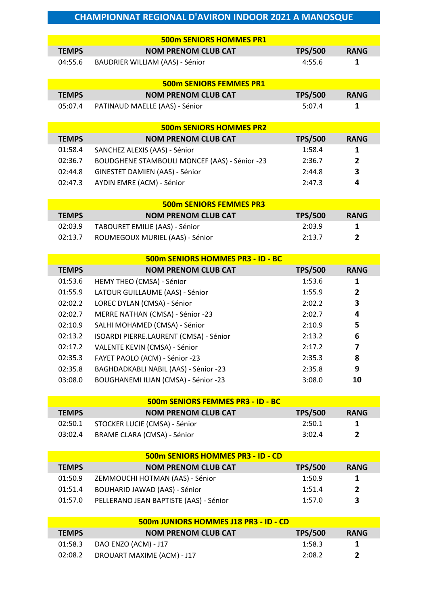|                    | <b>500m SENIORS HOMMES PR1</b>                                   |                  |                   |
|--------------------|------------------------------------------------------------------|------------------|-------------------|
| <b>TEMPS</b>       | <b>NOM PRENOM CLUB CAT</b>                                       | <b>TPS/500</b>   | <b>RANG</b>       |
| 04:55.6            | <b>BAUDRIER WILLIAM (AAS) - Sénior</b>                           | 4:55.6           | 1                 |
|                    |                                                                  |                  |                   |
|                    | <b>500m SENIORS FEMMES PR1</b>                                   |                  |                   |
| <b>TEMPS</b>       | <b>NOM PRENOM CLUB CAT</b>                                       | <b>TPS/500</b>   | <b>RANG</b>       |
| 05:07.4            | PATINAUD MAELLE (AAS) - Sénior                                   | 5:07.4           | $\mathbf{1}$      |
|                    |                                                                  |                  |                   |
|                    | <b>500m SENIORS HOMMES PR2</b>                                   |                  |                   |
| <b>TEMPS</b>       | <b>NOM PRENOM CLUB CAT</b>                                       | <b>TPS/500</b>   | <b>RANG</b>       |
| 01:58.4            | SANCHEZ ALEXIS (AAS) - Sénior                                    | 1:58.4           | 1                 |
| 02:36.7            | <b>BOUDGHENE STAMBOULI MONCEF (AAS) - Sénior -23</b>             | 2:36.7           | $\overline{2}$    |
| 02:44.8            | GINESTET DAMIEN (AAS) - Sénior                                   | 2:44.8           | 3                 |
| 02:47.3            | AYDIN EMRE (ACM) - Sénior                                        | 2:47.3           | 4                 |
|                    |                                                                  |                  |                   |
|                    | <b>500m SENIORS FEMMES PR3</b>                                   |                  |                   |
| <b>TEMPS</b>       | <b>NOM PRENOM CLUB CAT</b>                                       | <b>TPS/500</b>   | <b>RANG</b>       |
| 02:03.9            | TABOURET EMILIE (AAS) - Sénior                                   | 2:03.9           | $\mathbf{1}$      |
| 02:13.7            | ROUMEGOUX MURIEL (AAS) - Sénior                                  | 2:13.7           | $\overline{2}$    |
|                    | 500m SENIORS HOMMES PR3 - ID - BC                                |                  |                   |
| <b>TEMPS</b>       | <b>NOM PRENOM CLUB CAT</b>                                       | <b>TPS/500</b>   | <b>RANG</b>       |
|                    |                                                                  |                  |                   |
| 01:53.6            | HEMY THEO (CMSA) - Sénior                                        | 1:53.6           | 1                 |
| 01:55.9            | LATOUR GUILLAUME (AAS) - Sénior                                  | 1:55.9           | 2                 |
| 02:02.2            | LOREC DYLAN (CMSA) - Sénior                                      | 2:02.2           | 3                 |
| 02:02.7            | MERRE NATHAN (CMSA) - Sénior -23                                 | 2:02.7           | 4                 |
| 02:10.9            | SALHI MOHAMED (CMSA) - Sénior                                    | 2:10.9           | 5                 |
| 02:13.2            | ISOARDI PIERRE.LAURENT (CMSA) - Sénior                           | 2:13.2           | 6                 |
| 02:17.2            | VALENTE KEVIN (CMSA) - Sénior                                    | 2:17.2           | 7                 |
| 02:35.3            | FAYET PAOLO (ACM) - Sénior -23                                   | 2:35.3           | 8                 |
| 02:35.8            | BAGHDADKABLI NABIL (AAS) - Sénior -23                            | 2:35.8           | 9                 |
| 03:08.0            | BOUGHANEMI ILIAN (CMSA) - Sénior -23                             | 3:08.0           | 10                |
|                    |                                                                  |                  |                   |
|                    | 500m SENIORS FEMMES PR3 - ID - BC                                |                  |                   |
| <b>TEMPS</b>       | <b>NOM PRENOM CLUB CAT</b>                                       | <b>TPS/500</b>   | <b>RANG</b>       |
| 02:50.1            | STOCKER LUCIE (CMSA) - Sénior                                    | 2:50.1           | 1                 |
| 03:02.4            | <b>BRAME CLARA (CMSA) - Sénior</b>                               | 3:02.4           | $\overline{2}$    |
|                    |                                                                  |                  |                   |
|                    | 500m SENIORS HOMMES PR3 - ID - CD                                |                  |                   |
| <b>TEMPS</b>       | <b>NOM PRENOM CLUB CAT</b>                                       | <b>TPS/500</b>   | <b>RANG</b>       |
| 01:50.9<br>01:51.4 | ZEMMOUCHI HOTMAN (AAS) - Sénior<br>BOUHARID JAWAD (AAS) - Sénior | 1:50.9<br>1:51.4 | 1<br>$\mathbf{2}$ |

01:57.0 PELLERANO JEAN BAPTISTE (AAS) - Sénior 1:57.0 1:57.0 3

| <b>500m JUNIORS HOMMES J18 PR3 - ID - CD</b> |                              |                |              |  |
|----------------------------------------------|------------------------------|----------------|--------------|--|
| <b>TEMPS</b>                                 | <b>NOM PRENOM CLUB CAT</b>   | <b>TPS/500</b> | <b>RANG</b>  |  |
|                                              | 01:58.3 DAO ENZO (ACM) - J17 | 1:58.3         | 1            |  |
| 02:08.2                                      | DROUART MAXIME (ACM) - J17   | 2:08.2         | $\mathbf{z}$ |  |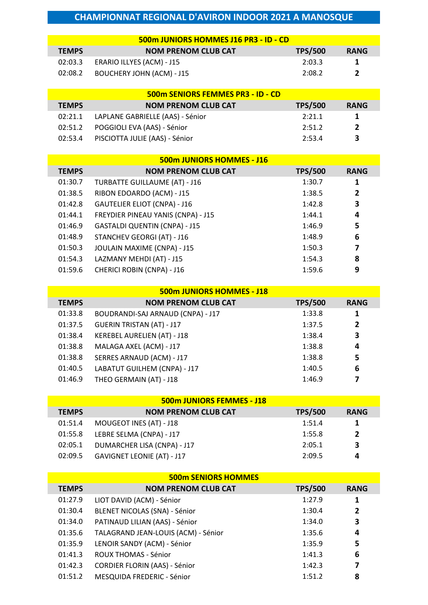| 500m JUNIORS HOMMES J16 PR3 - ID - CD |                                  |                |              |  |
|---------------------------------------|----------------------------------|----------------|--------------|--|
| <b>TEMPS</b>                          | <b>NOM PRENOM CLUB CAT</b>       | <b>TPS/500</b> | <b>RANG</b>  |  |
| 02:03.3                               | ERARIO ILLYES (ACM) - J15        | 2:03.3         | -1           |  |
| 02:08.2                               | <b>BOUCHERY JOHN (ACM) - J15</b> | 2:08.2         | $\mathbf{z}$ |  |

| <b>500m SENIORS FEMMES PR3 - ID - CD</b> |                                  |                |             |  |
|------------------------------------------|----------------------------------|----------------|-------------|--|
| <b>TEMPS</b>                             | <b>NOM PRENOM CLUB CAT</b>       | <b>TPS/500</b> | <b>RANG</b> |  |
| 02:21.1                                  | LAPLANE GABRIELLE (AAS) - Sénior | 2:21.1         | 1           |  |
| 02:51.2                                  | POGGIOLI EVA (AAS) - Sénior      | 2:51.2         | 2           |  |
| 02:53.4                                  | PISCIOTTA JULIE (AAS) - Sénior   | 2:53.4         | 3           |  |

Γ

I

| 500m JUNIORS HOMMES - J16 |                                      |                |              |  |
|---------------------------|--------------------------------------|----------------|--------------|--|
| <b>TEMPS</b>              | <b>NOM PRENOM CLUB CAT</b>           | <b>TPS/500</b> | <b>RANG</b>  |  |
| 01:30.7                   | TURBATTE GUILLAUME (AT) - J16        | 1:30.7         | 1            |  |
| 01:38.5                   | RIBON EDOARDO (ACM) - J15            | 1:38.5         | $\mathbf{2}$ |  |
| 01:42.8                   | <b>GAUTELIER ELIOT (CNPA) - J16</b>  | 1:42.8         | 3            |  |
| 01:44.1                   | FREYDIER PINEAU YANIS (CNPA) - J15   | 1:44.1         | 4            |  |
| 01:46.9                   | <b>GASTALDI QUENTIN (CNPA) - J15</b> | 1:46.9         | 5            |  |
| 01:48.9                   | <b>STANCHEV GEORGI (AT) - J16</b>    | 1:48.9         | 6            |  |
| 01:50.3                   | JOULAIN MAXIME (CNPA) - J15          | 1:50.3         | 7            |  |
| 01:54.3                   | LAZMANY MEHDI (AT) - J15             | 1:54.3         | 8            |  |
| 01:59.6                   | <b>CHERICI ROBIN (CNPA) - J16</b>    | 1:59.6         | 9            |  |

| <b>500m JUNIORS HOMMES - J18</b> |                                   |                |                |
|----------------------------------|-----------------------------------|----------------|----------------|
| <b>TEMPS</b>                     | <b>NOM PRENOM CLUB CAT</b>        | <b>TPS/500</b> | <b>RANG</b>    |
| 01:33.8                          | BOUDRANDI-SAJ ARNAUD (CNPA) - J17 | 1:33.8         | 1              |
| 01:37.5                          | <b>GUERIN TRISTAN (AT) - J17</b>  | 1:37.5         | $\overline{2}$ |
| 01:38.4                          | KEREBEL AURELIEN (AT) - J18       | 1:38.4         | 3              |
| 01:38.8                          | MALAGA AXEL (ACM) - J17           | 1:38.8         | 4              |
| 01:38.8                          | SERRES ARNAUD (ACM) - J17         | 1:38.8         | 5              |
| 01:40.5                          | LABATUT GUILHEM (CNPA) - J17      | 1:40.5         | 6              |
| 01:46.9                          | THEO GERMAIN (AT) - J18           | 1:46.9         | 7              |

| <b>500m JUNIORS FEMMES - J18</b> |                                   |                |                |  |
|----------------------------------|-----------------------------------|----------------|----------------|--|
| <b>TEMPS</b>                     | <b>NOM PRENOM CLUB CAT</b>        | <b>TPS/500</b> | <b>RANG</b>    |  |
| 01:51.4                          | MOUGEOT INES (AT) - J18           | 1:51.4         | 1              |  |
| 01:55.8                          | LEBRE SELMA (CNPA) - J17          | 1:55.8         | $\overline{2}$ |  |
| 02:05.1                          | DUMARCHER LISA (CNPA) - J17       | 2:05.1         | 3              |  |
| 02:09.5                          | <b>GAVIGNET LEONIE (AT) - J17</b> | 2:09.5         | 4              |  |

|              | <b>500m SENIORS HOMMES</b>           |                |             |
|--------------|--------------------------------------|----------------|-------------|
| <b>TEMPS</b> | <b>NOM PRENOM CLUB CAT</b>           | <b>TPS/500</b> | <b>RANG</b> |
| 01:27.9      | LIOT DAVID (ACM) - Sénior            | 1:27.9         | 1           |
| 01:30.4      | BLENET NICOLAS (SNA) - Sénior        | 1:30.4         | 2           |
| 01:34.0      | PATINAUD LILIAN (AAS) - Sénior       | 1:34.0         | 3           |
| 01:35.6      | TALAGRAND JEAN-LOUIS (ACM) - Sénior  | 1:35.6         | 4           |
| 01:35.9      | LENOIR SANDY (ACM) - Sénior          | 1:35.9         | 5           |
| 01:41.3      | <b>ROUX THOMAS - Sénior</b>          | 1:41.3         | 6           |
| 01:42.3      | <b>CORDIER FLORIN (AAS) - Sénior</b> | 1:42.3         | 7           |
| 01:51.2      | MESQUIDA FREDERIC - Sénior           | 1:51.2         | 8           |